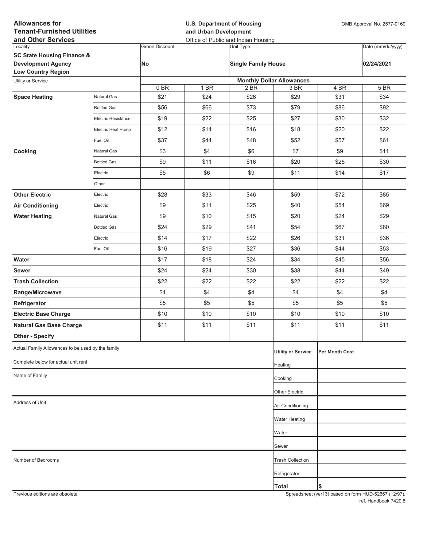| <b>Allowances for</b><br><b>Tenant-Furnished Utilities</b><br>and Other Services |                            | <b>U.S. Department of Housing</b><br>and Urban Development<br>Office of Public and Indian Housing |      |                            |                                          | OMB Approval No. 2577-0169 |                   |
|----------------------------------------------------------------------------------|----------------------------|---------------------------------------------------------------------------------------------------|------|----------------------------|------------------------------------------|----------------------------|-------------------|
| Locality                                                                         |                            | <b>Green Discount</b>                                                                             |      | <b>Unit Type</b>           |                                          |                            | Date (mm/dd/yyyy) |
| <b>SC State Housing Finance &amp;</b>                                            |                            |                                                                                                   |      |                            |                                          |                            |                   |
| <b>Development Agency</b>                                                        |                            | No                                                                                                |      | <b>Single Family House</b> |                                          |                            | 02/24/2021        |
| <b>Low Country Region</b>                                                        |                            |                                                                                                   |      |                            |                                          |                            |                   |
| Utility or Service                                                               |                            | 0BR                                                                                               | 1 BR | 2 BR                       | <b>Monthly Dollar Allowances</b><br>3 BR | 4 BR                       | 5 BR              |
| <b>Space Heating</b>                                                             | Natural Gas                | \$21                                                                                              | \$24 | \$26                       | \$29                                     | \$31                       | \$34              |
|                                                                                  | <b>Bottled Gas</b>         | \$56                                                                                              | \$66 | \$73                       | \$79                                     | \$86                       | \$92              |
|                                                                                  | <b>Electric Resistance</b> | \$19                                                                                              | \$22 | \$25                       | \$27                                     | \$30                       | \$32              |
|                                                                                  | Electric Heat Pump         | \$12                                                                                              | \$14 | \$16                       | \$18                                     | \$20                       | \$22              |
|                                                                                  | Fuel Oil                   | \$37                                                                                              | \$44 | \$48                       | \$52                                     | \$57                       | \$61              |
| Cooking                                                                          | Natural Gas                | \$3                                                                                               | \$4  | \$6                        | \$7                                      | \$9                        | \$11              |
|                                                                                  | <b>Bottled Gas</b>         | \$9                                                                                               | \$11 | \$16                       | \$20                                     | \$25                       | \$30              |
|                                                                                  | Electric                   | \$5                                                                                               | \$6  | \$9                        | \$11                                     | \$14                       | \$17              |
|                                                                                  | Other                      |                                                                                                   |      |                            |                                          |                            |                   |
| <b>Other Electric</b>                                                            | Electric                   | \$28                                                                                              | \$33 | \$46                       | \$59                                     | \$72                       | \$85              |
| <b>Air Conditioning</b>                                                          | Electric                   | \$9                                                                                               | \$11 | \$25                       | \$40                                     | \$54                       | \$69              |
| <b>Water Heating</b>                                                             | <b>Natural Gas</b>         | \$9                                                                                               | \$10 | \$15                       | \$20                                     | \$24                       | \$29              |
|                                                                                  | <b>Bottled Gas</b>         | \$24                                                                                              | \$29 | \$41                       | \$54                                     | \$67                       | \$80              |
|                                                                                  | Electric                   | \$14                                                                                              | \$17 | \$22                       | \$26                                     | \$31                       | \$36              |
|                                                                                  | Fuel Oil                   | \$16                                                                                              | \$19 | \$27                       | \$36                                     | \$44                       | \$53              |
| Water                                                                            |                            | \$17                                                                                              | \$18 | \$24                       | \$34                                     | \$45                       | \$56              |
| <b>Sewer</b>                                                                     |                            | \$24                                                                                              | \$24 | \$30                       | \$38                                     | \$44                       | \$49              |
| <b>Trash Collection</b>                                                          |                            | \$22                                                                                              | \$22 | \$22                       | \$22                                     | \$22                       | \$22              |
| Range/Microwave                                                                  |                            | \$4                                                                                               | \$4  | \$4                        | \$4                                      | \$4                        | \$4               |
| Refrigerator                                                                     |                            | \$5                                                                                               | \$5  | \$5                        | \$5                                      | \$5                        | \$5               |
| <b>Electric Base Charge</b>                                                      |                            | \$10                                                                                              | \$10 | \$10                       | \$10                                     | \$10                       | \$10              |
| <b>Natural Gas Base Charge</b>                                                   |                            | \$11                                                                                              | \$11 | \$11                       | \$11                                     | \$11                       | \$11              |
| <b>Other - Specify</b>                                                           |                            |                                                                                                   |      |                            |                                          |                            |                   |
| Actual Family Allowances to be used by the family                                |                            |                                                                                                   |      |                            | <b>Utility or Service</b>                | Per Month Cost             |                   |
| Complete below for actual unit rent                                              |                            |                                                                                                   |      |                            | Heating                                  |                            |                   |
| Name of Family                                                                   |                            |                                                                                                   |      |                            | Cooking                                  |                            |                   |
|                                                                                  |                            |                                                                                                   |      |                            |                                          |                            |                   |
| Address of Unit                                                                  |                            |                                                                                                   |      |                            | Other Electric                           |                            |                   |
|                                                                                  |                            |                                                                                                   |      |                            | Air Conditioning                         |                            |                   |
|                                                                                  |                            |                                                                                                   |      |                            | Water Heating                            |                            |                   |
|                                                                                  |                            |                                                                                                   |      |                            | Water                                    |                            |                   |
|                                                                                  |                            |                                                                                                   |      |                            | Sewer                                    |                            |                   |
| Number of Bedrooms                                                               |                            |                                                                                                   |      |                            | <b>Trash Collection</b>                  |                            |                   |
|                                                                                  |                            |                                                                                                   |      |                            | Refrigerator                             |                            |                   |
|                                                                                  |                            |                                                                                                   |      |                            | <b>Total</b>                             | \$                         |                   |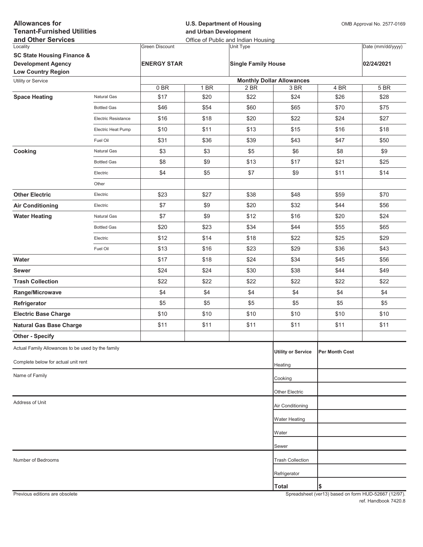| <b>Allowances for</b><br><b>Tenant-Furnished Utilities</b><br>and Other Services |                            | <b>U.S. Department of Housing</b><br>and Urban Development<br>Office of Public and Indian Housing |      |                            |                                                     | OMB Approval No. 2577-0169 |                   |
|----------------------------------------------------------------------------------|----------------------------|---------------------------------------------------------------------------------------------------|------|----------------------------|-----------------------------------------------------|----------------------------|-------------------|
| Locality                                                                         |                            | <b>Green Discount</b>                                                                             |      | Unit Type                  |                                                     |                            | Date (mm/dd/yyyy) |
| <b>SC State Housing Finance &amp;</b>                                            |                            |                                                                                                   |      |                            |                                                     |                            |                   |
| <b>Development Agency</b>                                                        |                            | <b>ENERGY STAR</b>                                                                                |      | <b>Single Family House</b> |                                                     |                            | 02/24/2021        |
| <b>Low Country Region</b>                                                        |                            |                                                                                                   |      |                            |                                                     |                            |                   |
| Utility or Service                                                               |                            | 0BR                                                                                               | 1 BR | 2 BR                       | <b>Monthly Dollar Allowances</b><br>3 <sub>BR</sub> | 4 BR                       | 5 BR              |
| <b>Space Heating</b>                                                             | Natural Gas                | \$17                                                                                              | \$20 | \$22                       | \$24                                                | \$26                       | \$28              |
|                                                                                  | <b>Bottled Gas</b>         | \$46                                                                                              | \$54 | \$60                       | \$65                                                | \$70                       | \$75              |
|                                                                                  | <b>Electric Resistance</b> | \$16                                                                                              | \$18 | \$20                       | \$22                                                | \$24                       | \$27              |
|                                                                                  | Electric Heat Pump         | \$10                                                                                              | \$11 | \$13                       | \$15                                                | \$16                       | \$18              |
|                                                                                  | Fuel Oil                   | \$31                                                                                              | \$36 | \$39                       | \$43                                                | \$47                       | \$50              |
| Cooking                                                                          | Natural Gas                | \$3                                                                                               | \$3  | \$5                        | \$6                                                 | \$8                        | \$9               |
|                                                                                  | <b>Bottled Gas</b>         | \$8                                                                                               | \$9  | \$13                       | \$17                                                | \$21                       | \$25              |
|                                                                                  | Electric                   | \$4                                                                                               | \$5  | \$7                        | \$9                                                 | \$11                       | \$14              |
|                                                                                  | Other                      |                                                                                                   |      |                            |                                                     |                            |                   |
| <b>Other Electric</b>                                                            | Electric                   | \$23                                                                                              | \$27 | \$38                       | \$48                                                | \$59                       | \$70              |
| <b>Air Conditioning</b>                                                          | Electric                   | \$7                                                                                               | \$9  | \$20                       | \$32                                                | \$44                       | \$56              |
| <b>Water Heating</b>                                                             | Natural Gas                | \$7                                                                                               | \$9  | \$12                       | \$16                                                | \$20                       | \$24              |
|                                                                                  | <b>Bottled Gas</b>         | \$20                                                                                              | \$23 | \$34                       | \$44                                                | \$55                       | \$65              |
|                                                                                  | Electric                   | \$12                                                                                              | \$14 | \$18                       | \$22                                                | \$25                       | \$29              |
|                                                                                  | Fuel Oil                   | \$13                                                                                              | \$16 | \$23                       | \$29                                                | \$36                       | \$43              |
| Water                                                                            |                            | \$17                                                                                              | \$18 | \$24                       | \$34                                                | \$45                       | \$56              |
| <b>Sewer</b>                                                                     |                            | \$24                                                                                              | \$24 | \$30                       | \$38                                                | \$44                       | \$49              |
| <b>Trash Collection</b>                                                          |                            | \$22                                                                                              | \$22 | \$22                       | \$22                                                | \$22                       | \$22              |
| Range/Microwave                                                                  |                            | \$4                                                                                               | \$4  | \$4                        | \$4                                                 | \$4                        | \$4               |
| Refrigerator                                                                     |                            | \$5                                                                                               | \$5  | \$5                        | \$5                                                 | \$5                        | \$5               |
| <b>Electric Base Charge</b>                                                      |                            | \$10                                                                                              | \$10 | \$10                       | \$10                                                | \$10                       | \$10              |
| <b>Natural Gas Base Charge</b>                                                   |                            | \$11                                                                                              | \$11 | \$11                       | \$11                                                | \$11                       | \$11              |
| <b>Other - Specify</b>                                                           |                            |                                                                                                   |      |                            |                                                     |                            |                   |
| Actual Family Allowances to be used by the family                                |                            |                                                                                                   |      |                            | <b>Utility or Service</b>                           | <b>Per Month Cost</b>      |                   |
| Complete below for actual unit rent                                              |                            |                                                                                                   |      |                            | Heating                                             |                            |                   |
| Name of Family                                                                   |                            |                                                                                                   |      |                            | Cooking                                             |                            |                   |
|                                                                                  |                            |                                                                                                   |      |                            | Other Electric                                      |                            |                   |
| Address of Unit                                                                  |                            |                                                                                                   |      |                            | Air Conditioning                                    |                            |                   |
|                                                                                  |                            |                                                                                                   |      |                            | <b>Water Heating</b>                                |                            |                   |
|                                                                                  |                            |                                                                                                   |      |                            | Water                                               |                            |                   |
|                                                                                  |                            |                                                                                                   |      |                            | Sewer                                               |                            |                   |
| Number of Bedrooms                                                               |                            |                                                                                                   |      |                            | <b>Trash Collection</b>                             |                            |                   |
|                                                                                  |                            |                                                                                                   |      |                            | Refrigerator                                        |                            |                   |
|                                                                                  |                            |                                                                                                   |      |                            | <b>Total</b>                                        | \$                         |                   |
|                                                                                  |                            |                                                                                                   |      |                            |                                                     |                            |                   |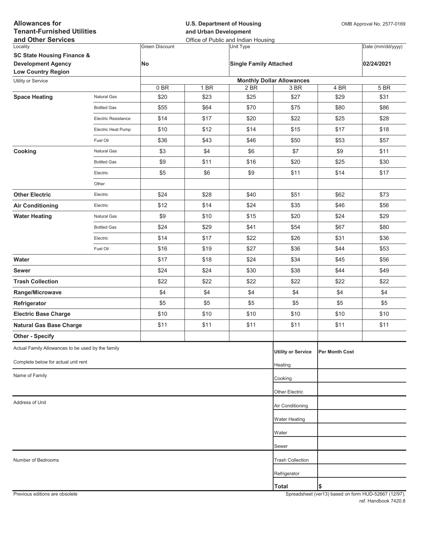| <b>Allowances for</b><br><b>Tenant-Furnished Utilities</b><br>and Other Services |                     | <b>U.S. Department of Housing</b><br>and Urban Development<br>Office of Public and Indian Housing |      |                               |                                                     | OMB Approval No. 2577-0169 |                   |
|----------------------------------------------------------------------------------|---------------------|---------------------------------------------------------------------------------------------------|------|-------------------------------|-----------------------------------------------------|----------------------------|-------------------|
| Locality                                                                         |                     | <b>Green Discount</b>                                                                             |      | Unit Type                     |                                                     |                            | Date (mm/dd/yyyy) |
| <b>SC State Housing Finance &amp;</b>                                            |                     |                                                                                                   |      |                               |                                                     |                            |                   |
| <b>Development Agency</b>                                                        |                     | <b>No</b>                                                                                         |      | <b>Single Family Attached</b> |                                                     |                            | 02/24/2021        |
| <b>Low Country Region</b>                                                        |                     |                                                                                                   |      |                               |                                                     |                            |                   |
| Utility or Service                                                               |                     | 0BR                                                                                               | 1 BR | 2 BR                          | <b>Monthly Dollar Allowances</b><br>3 <sub>BR</sub> | 4 BR                       | 5 BR              |
| <b>Space Heating</b>                                                             | Natural Gas         | \$20                                                                                              | \$23 | \$25                          | \$27                                                | \$29                       | \$31              |
|                                                                                  | <b>Bottled Gas</b>  | \$55                                                                                              | \$64 | \$70                          | \$75                                                | \$80                       | \$86              |
|                                                                                  | Electric Resistance | \$14                                                                                              | \$17 | \$20                          | \$22                                                | \$25                       | \$28              |
|                                                                                  | Electric Heat Pump  | \$10                                                                                              | \$12 | \$14                          | \$15                                                | \$17                       | \$18              |
|                                                                                  | Fuel Oil            | \$36                                                                                              | \$43 | \$46                          | \$50                                                | \$53                       | \$57              |
| Cooking                                                                          | Natural Gas         | \$3                                                                                               | \$4  | \$6                           | \$7                                                 | \$9                        | \$11              |
|                                                                                  | <b>Bottled Gas</b>  | \$9                                                                                               | \$11 | \$16                          | \$20                                                | \$25                       | \$30              |
|                                                                                  | Electric            | \$5                                                                                               | \$6  | \$9                           | \$11                                                | \$14                       | \$17              |
|                                                                                  | Other               |                                                                                                   |      |                               |                                                     |                            |                   |
| <b>Other Electric</b>                                                            | Electric            | \$24                                                                                              | \$28 | \$40                          | \$51                                                | \$62                       | \$73              |
| <b>Air Conditioning</b>                                                          | Electric            | \$12                                                                                              | \$14 | \$24                          | \$35                                                | \$46                       | \$56              |
| <b>Water Heating</b>                                                             | Natural Gas         | \$9                                                                                               | \$10 | \$15                          | \$20                                                | \$24                       | \$29              |
|                                                                                  | <b>Bottled Gas</b>  | \$24                                                                                              | \$29 | \$41                          | \$54                                                | \$67                       | \$80              |
|                                                                                  | Electric            | \$14                                                                                              | \$17 | \$22                          | \$26                                                | \$31                       | \$36              |
|                                                                                  | Fuel Oil            | \$16                                                                                              | \$19 | \$27                          | \$36                                                | \$44                       | \$53              |
| Water                                                                            |                     | \$17                                                                                              | \$18 | \$24                          | \$34                                                | \$45                       | \$56              |
| <b>Sewer</b>                                                                     |                     | \$24                                                                                              | \$24 | \$30                          | \$38                                                | \$44                       | \$49              |
| <b>Trash Collection</b>                                                          |                     | \$22                                                                                              | \$22 | \$22                          | \$22                                                | \$22                       | \$22              |
| Range/Microwave                                                                  |                     | \$4                                                                                               | \$4  | \$4                           | \$4                                                 | \$4                        | \$4               |
| Refrigerator                                                                     |                     | \$5                                                                                               | \$5  | \$5                           | \$5                                                 | \$5                        | \$5               |
| <b>Electric Base Charge</b>                                                      |                     | \$10                                                                                              | \$10 | \$10                          | \$10                                                | \$10                       | \$10              |
| <b>Natural Gas Base Charge</b>                                                   |                     | \$11                                                                                              | \$11 | \$11                          | \$11                                                | \$11                       | \$11              |
| <b>Other - Specify</b>                                                           |                     |                                                                                                   |      |                               |                                                     |                            |                   |
| Actual Family Allowances to be used by the family                                |                     |                                                                                                   |      |                               | <b>Utility or Service</b>                           | Per Month Cost             |                   |
| Complete below for actual unit rent                                              |                     |                                                                                                   |      |                               |                                                     |                            |                   |
|                                                                                  |                     |                                                                                                   |      |                               | Heating                                             |                            |                   |
| Name of Family                                                                   |                     |                                                                                                   |      |                               | Cooking                                             |                            |                   |
|                                                                                  |                     |                                                                                                   |      |                               | Other Electric                                      |                            |                   |
| Address of Unit                                                                  |                     |                                                                                                   |      |                               | Air Conditioning                                    |                            |                   |
|                                                                                  |                     |                                                                                                   |      |                               | <b>Water Heating</b>                                |                            |                   |
|                                                                                  |                     |                                                                                                   |      |                               | Water                                               |                            |                   |
|                                                                                  |                     |                                                                                                   |      |                               | Sewer                                               |                            |                   |
| Number of Bedrooms                                                               |                     |                                                                                                   |      |                               | <b>Trash Collection</b>                             |                            |                   |
|                                                                                  |                     |                                                                                                   |      |                               |                                                     |                            |                   |
|                                                                                  |                     |                                                                                                   |      |                               | Refrigerator                                        |                            |                   |
|                                                                                  |                     |                                                                                                   |      |                               | <b>Total</b>                                        | Ι\$                        |                   |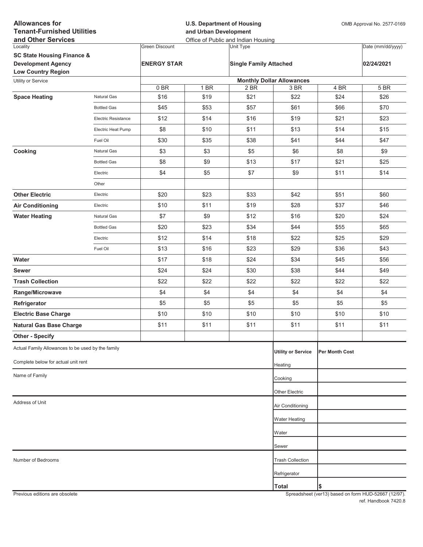| <b>Allowances for</b><br><b>Tenant-Furnished Utilities</b><br>and Other Services |                            | <b>U.S. Department of Housing</b><br>and Urban Development<br>Office of Public and Indian Housing |      |                               |                                          | OMB Approval No. 2577-0169 |                   |
|----------------------------------------------------------------------------------|----------------------------|---------------------------------------------------------------------------------------------------|------|-------------------------------|------------------------------------------|----------------------------|-------------------|
| Locality                                                                         |                            | <b>Green Discount</b>                                                                             |      | <b>Unit Type</b>              |                                          |                            | Date (mm/dd/yyyy) |
| <b>SC State Housing Finance &amp;</b>                                            |                            |                                                                                                   |      |                               |                                          |                            |                   |
| <b>Development Agency</b>                                                        |                            | <b>ENERGY STAR</b>                                                                                |      | <b>Single Family Attached</b> |                                          |                            | 02/24/2021        |
| <b>Low Country Region</b>                                                        |                            |                                                                                                   |      |                               |                                          |                            |                   |
| Utility or Service                                                               |                            | 0BR                                                                                               | 1 BR | 2 BR                          | <b>Monthly Dollar Allowances</b><br>3 BR | 4 BR                       | 5 BR              |
| <b>Space Heating</b>                                                             | Natural Gas                | \$16                                                                                              | \$19 | \$21                          | \$22                                     | \$24                       | \$26              |
|                                                                                  | <b>Bottled Gas</b>         | \$45                                                                                              | \$53 | \$57                          | \$61                                     | \$66                       | \$70              |
|                                                                                  | <b>Electric Resistance</b> | \$12                                                                                              | \$14 | \$16                          | \$19                                     | \$21                       | \$23              |
|                                                                                  | <b>Electric Heat Pump</b>  | \$8                                                                                               | \$10 | \$11                          | \$13                                     | \$14                       | \$15              |
|                                                                                  | Fuel Oil                   | \$30                                                                                              | \$35 | \$38                          | \$41                                     | \$44                       | \$47              |
| Cooking                                                                          | Natural Gas                | \$3                                                                                               | \$3  | \$5                           | \$6                                      | \$8                        | \$9               |
|                                                                                  | <b>Bottled Gas</b>         | \$8                                                                                               | \$9  | \$13                          | \$17                                     | \$21                       | \$25              |
|                                                                                  | Electric                   | \$4                                                                                               | \$5  | \$7                           | \$9                                      | \$11                       | \$14              |
|                                                                                  | Other                      |                                                                                                   |      |                               |                                          |                            |                   |
| <b>Other Electric</b>                                                            | Electric                   | \$20                                                                                              | \$23 | \$33                          | \$42                                     | \$51                       | \$60              |
| <b>Air Conditioning</b>                                                          | Electric                   | \$10                                                                                              | \$11 | \$19                          | \$28                                     | \$37                       | \$46              |
| <b>Water Heating</b>                                                             | Natural Gas                | \$7                                                                                               | \$9  | \$12                          | \$16                                     | \$20                       | \$24              |
|                                                                                  | <b>Bottled Gas</b>         | \$20                                                                                              | \$23 | \$34                          | \$44                                     | \$55                       | \$65              |
|                                                                                  | Electric                   | \$12                                                                                              | \$14 | \$18                          | \$22                                     | \$25                       | \$29              |
|                                                                                  | Fuel Oil                   | \$13                                                                                              | \$16 | \$23                          | \$29                                     | \$36                       | \$43              |
| Water                                                                            |                            | \$17                                                                                              | \$18 | \$24                          | \$34                                     | \$45                       | \$56              |
| <b>Sewer</b>                                                                     |                            | \$24                                                                                              | \$24 | \$30                          | \$38                                     | \$44                       | \$49              |
| <b>Trash Collection</b>                                                          |                            | \$22                                                                                              | \$22 | \$22                          | \$22                                     | \$22                       | \$22              |
| Range/Microwave                                                                  |                            | \$4                                                                                               | \$4  | \$4                           | \$4                                      | \$4                        | \$4               |
| Refrigerator                                                                     |                            | \$5                                                                                               | \$5  | \$5                           | \$5                                      | \$5                        | \$5               |
| <b>Electric Base Charge</b>                                                      |                            | \$10                                                                                              | \$10 | \$10                          | \$10                                     | \$10                       | \$10              |
| <b>Natural Gas Base Charge</b>                                                   |                            | \$11                                                                                              | \$11 | \$11                          | \$11                                     | \$11                       | \$11              |
| <b>Other - Specify</b>                                                           |                            |                                                                                                   |      |                               |                                          |                            |                   |
| Actual Family Allowances to be used by the family                                |                            |                                                                                                   |      |                               |                                          |                            |                   |
| Complete below for actual unit rent                                              |                            |                                                                                                   |      |                               | <b>Utility or Service</b>                | <b>Per Month Cost</b>      |                   |
|                                                                                  |                            |                                                                                                   |      |                               | Heating                                  |                            |                   |
| Name of Family                                                                   |                            |                                                                                                   |      |                               | Cooking                                  |                            |                   |
|                                                                                  |                            |                                                                                                   |      |                               | Other Electric                           |                            |                   |
| Address of Unit                                                                  |                            |                                                                                                   |      |                               | Air Conditioning                         |                            |                   |
|                                                                                  |                            |                                                                                                   |      |                               | Water Heating                            |                            |                   |
|                                                                                  |                            |                                                                                                   |      |                               | Water                                    |                            |                   |
|                                                                                  |                            |                                                                                                   |      |                               |                                          |                            |                   |
|                                                                                  |                            |                                                                                                   |      |                               | Sewer                                    |                            |                   |
| Number of Bedrooms                                                               |                            |                                                                                                   |      |                               | <b>Trash Collection</b>                  |                            |                   |
|                                                                                  |                            |                                                                                                   |      |                               | Refrigerator                             |                            |                   |
|                                                                                  |                            |                                                                                                   |      |                               | <b>Total</b>                             | \$                         |                   |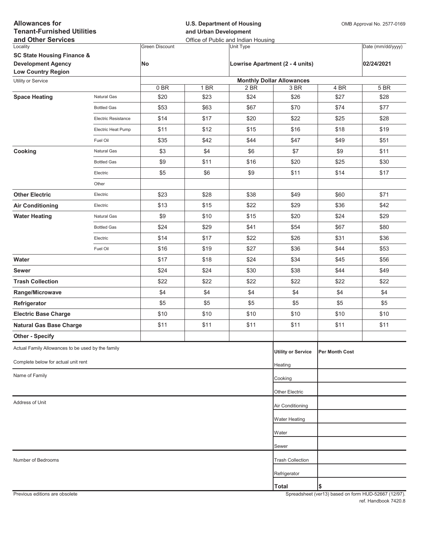| <b>Unit Type</b><br>Date (mm/dd/yyyy)<br>Locality<br><b>Green Discount</b><br><b>SC State Housing Finance &amp;</b><br><b>Development Agency</b><br>No<br>Lowrise Apartment (2 - 4 units)<br>02/24/2021<br><b>Low Country Region</b><br><b>Monthly Dollar Allowances</b><br>Utility or Service<br>0BR<br>1 BR<br>2 BR<br>4 BR<br>5 BR<br>3 BR<br>\$24<br><b>Space Heating</b><br>\$20<br>\$23<br>\$26<br>\$27<br>\$28<br>Natural Gas<br>\$53<br>\$63<br>\$67<br>\$70<br>\$74<br>\$77<br><b>Bottled Gas</b><br>\$14<br>\$17<br>\$20<br>\$22<br>\$25<br>\$28<br>Electric Resistance<br>\$12<br>\$15<br>\$18<br>\$19<br>\$11<br>\$16<br>Electric Heat Pump<br>\$42<br>\$44<br>\$47<br>\$51<br>\$35<br>\$49<br>Fuel Oil<br>\$3<br>\$4<br>\$6<br>\$7<br>\$9<br>\$11<br>Cooking<br>Natural Gas<br>\$11<br>\$16<br>\$9<br>\$20<br>\$25<br>\$30<br><b>Bottled Gas</b><br>\$6<br>\$5<br>\$9<br>\$11<br>\$14<br>\$17<br>Electric<br>Other<br><b>Other Electric</b><br>\$23<br>\$28<br>\$38<br>\$49<br>\$60<br>\$71<br>Electric<br>\$15<br>\$22<br>\$29<br><b>Air Conditioning</b><br>Electric<br>\$13<br>\$36<br>\$42<br>\$15<br><b>Water Heating</b><br>\$9<br>\$10<br>\$20<br>\$24<br>\$29<br>Natural Gas<br>\$41<br>\$54<br><b>Bottled Gas</b><br>\$24<br>\$29<br>\$67<br>\$80<br>\$14<br>\$17<br>\$22<br>\$26<br>\$31<br>\$36<br>Electric<br>Fuel Oil<br>\$16<br>\$19<br>\$27<br>\$36<br>\$44<br>\$53<br>\$24<br>Water<br>\$17<br>\$18<br>\$34<br>\$45<br>\$56<br>\$24<br>\$24<br>\$30<br>\$38<br>\$44<br>\$49<br><b>Sewer</b><br>\$22<br>\$22<br>\$22<br>\$22<br>\$22<br>\$22<br><b>Trash Collection</b><br>\$4<br>\$4<br>\$4<br>\$4<br>\$4<br>\$4<br>Range/Microwave<br>\$5<br>\$5<br>\$5<br>\$5<br>\$5<br>\$5<br>Refrigerator<br>\$10<br>\$10<br>\$10<br>\$10<br>\$10<br>\$10<br><b>Electric Base Charge</b><br>\$11<br><b>Natural Gas Base Charge</b><br>\$11<br>\$11<br>\$11<br>\$11<br>\$11<br><b>Other - Specify</b><br>Actual Family Allowances to be used by the family<br><b>Utility or Service</b><br>Per Month Cost<br>Complete below for actual unit rent<br>Heating<br>Name of Family<br>Cooking<br>Other Electric<br>Address of Unit<br>Air Conditioning<br>Water Heating<br>Water<br>Sewer<br>Number of Bedrooms<br><b>Trash Collection</b><br>Refrigerator<br>\$<br><b>Total</b> | <b>Allowances for</b><br><b>Tenant-Furnished Utilities</b><br>and Other Services |  | <b>U.S. Department of Housing</b><br>and Urban Development<br>Office of Public and Indian Housing |  |  |  | OMB Approval No. 2577-0169 |  |
|---------------------------------------------------------------------------------------------------------------------------------------------------------------------------------------------------------------------------------------------------------------------------------------------------------------------------------------------------------------------------------------------------------------------------------------------------------------------------------------------------------------------------------------------------------------------------------------------------------------------------------------------------------------------------------------------------------------------------------------------------------------------------------------------------------------------------------------------------------------------------------------------------------------------------------------------------------------------------------------------------------------------------------------------------------------------------------------------------------------------------------------------------------------------------------------------------------------------------------------------------------------------------------------------------------------------------------------------------------------------------------------------------------------------------------------------------------------------------------------------------------------------------------------------------------------------------------------------------------------------------------------------------------------------------------------------------------------------------------------------------------------------------------------------------------------------------------------------------------------------------------------------------------------------------------------------------------------------------------------------------------------------------------------------------------------------------------------------------------------------------------------------------------------------------------------------------------------------------------------------------------------------------------------------|----------------------------------------------------------------------------------|--|---------------------------------------------------------------------------------------------------|--|--|--|----------------------------|--|
|                                                                                                                                                                                                                                                                                                                                                                                                                                                                                                                                                                                                                                                                                                                                                                                                                                                                                                                                                                                                                                                                                                                                                                                                                                                                                                                                                                                                                                                                                                                                                                                                                                                                                                                                                                                                                                                                                                                                                                                                                                                                                                                                                                                                                                                                                             |                                                                                  |  |                                                                                                   |  |  |  |                            |  |
|                                                                                                                                                                                                                                                                                                                                                                                                                                                                                                                                                                                                                                                                                                                                                                                                                                                                                                                                                                                                                                                                                                                                                                                                                                                                                                                                                                                                                                                                                                                                                                                                                                                                                                                                                                                                                                                                                                                                                                                                                                                                                                                                                                                                                                                                                             |                                                                                  |  |                                                                                                   |  |  |  |                            |  |
|                                                                                                                                                                                                                                                                                                                                                                                                                                                                                                                                                                                                                                                                                                                                                                                                                                                                                                                                                                                                                                                                                                                                                                                                                                                                                                                                                                                                                                                                                                                                                                                                                                                                                                                                                                                                                                                                                                                                                                                                                                                                                                                                                                                                                                                                                             |                                                                                  |  |                                                                                                   |  |  |  |                            |  |
|                                                                                                                                                                                                                                                                                                                                                                                                                                                                                                                                                                                                                                                                                                                                                                                                                                                                                                                                                                                                                                                                                                                                                                                                                                                                                                                                                                                                                                                                                                                                                                                                                                                                                                                                                                                                                                                                                                                                                                                                                                                                                                                                                                                                                                                                                             |                                                                                  |  |                                                                                                   |  |  |  |                            |  |
|                                                                                                                                                                                                                                                                                                                                                                                                                                                                                                                                                                                                                                                                                                                                                                                                                                                                                                                                                                                                                                                                                                                                                                                                                                                                                                                                                                                                                                                                                                                                                                                                                                                                                                                                                                                                                                                                                                                                                                                                                                                                                                                                                                                                                                                                                             |                                                                                  |  |                                                                                                   |  |  |  |                            |  |
|                                                                                                                                                                                                                                                                                                                                                                                                                                                                                                                                                                                                                                                                                                                                                                                                                                                                                                                                                                                                                                                                                                                                                                                                                                                                                                                                                                                                                                                                                                                                                                                                                                                                                                                                                                                                                                                                                                                                                                                                                                                                                                                                                                                                                                                                                             |                                                                                  |  |                                                                                                   |  |  |  |                            |  |
|                                                                                                                                                                                                                                                                                                                                                                                                                                                                                                                                                                                                                                                                                                                                                                                                                                                                                                                                                                                                                                                                                                                                                                                                                                                                                                                                                                                                                                                                                                                                                                                                                                                                                                                                                                                                                                                                                                                                                                                                                                                                                                                                                                                                                                                                                             |                                                                                  |  |                                                                                                   |  |  |  |                            |  |
|                                                                                                                                                                                                                                                                                                                                                                                                                                                                                                                                                                                                                                                                                                                                                                                                                                                                                                                                                                                                                                                                                                                                                                                                                                                                                                                                                                                                                                                                                                                                                                                                                                                                                                                                                                                                                                                                                                                                                                                                                                                                                                                                                                                                                                                                                             |                                                                                  |  |                                                                                                   |  |  |  |                            |  |
|                                                                                                                                                                                                                                                                                                                                                                                                                                                                                                                                                                                                                                                                                                                                                                                                                                                                                                                                                                                                                                                                                                                                                                                                                                                                                                                                                                                                                                                                                                                                                                                                                                                                                                                                                                                                                                                                                                                                                                                                                                                                                                                                                                                                                                                                                             |                                                                                  |  |                                                                                                   |  |  |  |                            |  |
|                                                                                                                                                                                                                                                                                                                                                                                                                                                                                                                                                                                                                                                                                                                                                                                                                                                                                                                                                                                                                                                                                                                                                                                                                                                                                                                                                                                                                                                                                                                                                                                                                                                                                                                                                                                                                                                                                                                                                                                                                                                                                                                                                                                                                                                                                             |                                                                                  |  |                                                                                                   |  |  |  |                            |  |
|                                                                                                                                                                                                                                                                                                                                                                                                                                                                                                                                                                                                                                                                                                                                                                                                                                                                                                                                                                                                                                                                                                                                                                                                                                                                                                                                                                                                                                                                                                                                                                                                                                                                                                                                                                                                                                                                                                                                                                                                                                                                                                                                                                                                                                                                                             |                                                                                  |  |                                                                                                   |  |  |  |                            |  |
|                                                                                                                                                                                                                                                                                                                                                                                                                                                                                                                                                                                                                                                                                                                                                                                                                                                                                                                                                                                                                                                                                                                                                                                                                                                                                                                                                                                                                                                                                                                                                                                                                                                                                                                                                                                                                                                                                                                                                                                                                                                                                                                                                                                                                                                                                             |                                                                                  |  |                                                                                                   |  |  |  |                            |  |
|                                                                                                                                                                                                                                                                                                                                                                                                                                                                                                                                                                                                                                                                                                                                                                                                                                                                                                                                                                                                                                                                                                                                                                                                                                                                                                                                                                                                                                                                                                                                                                                                                                                                                                                                                                                                                                                                                                                                                                                                                                                                                                                                                                                                                                                                                             |                                                                                  |  |                                                                                                   |  |  |  |                            |  |
|                                                                                                                                                                                                                                                                                                                                                                                                                                                                                                                                                                                                                                                                                                                                                                                                                                                                                                                                                                                                                                                                                                                                                                                                                                                                                                                                                                                                                                                                                                                                                                                                                                                                                                                                                                                                                                                                                                                                                                                                                                                                                                                                                                                                                                                                                             |                                                                                  |  |                                                                                                   |  |  |  |                            |  |
|                                                                                                                                                                                                                                                                                                                                                                                                                                                                                                                                                                                                                                                                                                                                                                                                                                                                                                                                                                                                                                                                                                                                                                                                                                                                                                                                                                                                                                                                                                                                                                                                                                                                                                                                                                                                                                                                                                                                                                                                                                                                                                                                                                                                                                                                                             |                                                                                  |  |                                                                                                   |  |  |  |                            |  |
|                                                                                                                                                                                                                                                                                                                                                                                                                                                                                                                                                                                                                                                                                                                                                                                                                                                                                                                                                                                                                                                                                                                                                                                                                                                                                                                                                                                                                                                                                                                                                                                                                                                                                                                                                                                                                                                                                                                                                                                                                                                                                                                                                                                                                                                                                             |                                                                                  |  |                                                                                                   |  |  |  |                            |  |
|                                                                                                                                                                                                                                                                                                                                                                                                                                                                                                                                                                                                                                                                                                                                                                                                                                                                                                                                                                                                                                                                                                                                                                                                                                                                                                                                                                                                                                                                                                                                                                                                                                                                                                                                                                                                                                                                                                                                                                                                                                                                                                                                                                                                                                                                                             |                                                                                  |  |                                                                                                   |  |  |  |                            |  |
|                                                                                                                                                                                                                                                                                                                                                                                                                                                                                                                                                                                                                                                                                                                                                                                                                                                                                                                                                                                                                                                                                                                                                                                                                                                                                                                                                                                                                                                                                                                                                                                                                                                                                                                                                                                                                                                                                                                                                                                                                                                                                                                                                                                                                                                                                             |                                                                                  |  |                                                                                                   |  |  |  |                            |  |
|                                                                                                                                                                                                                                                                                                                                                                                                                                                                                                                                                                                                                                                                                                                                                                                                                                                                                                                                                                                                                                                                                                                                                                                                                                                                                                                                                                                                                                                                                                                                                                                                                                                                                                                                                                                                                                                                                                                                                                                                                                                                                                                                                                                                                                                                                             |                                                                                  |  |                                                                                                   |  |  |  |                            |  |
|                                                                                                                                                                                                                                                                                                                                                                                                                                                                                                                                                                                                                                                                                                                                                                                                                                                                                                                                                                                                                                                                                                                                                                                                                                                                                                                                                                                                                                                                                                                                                                                                                                                                                                                                                                                                                                                                                                                                                                                                                                                                                                                                                                                                                                                                                             |                                                                                  |  |                                                                                                   |  |  |  |                            |  |
|                                                                                                                                                                                                                                                                                                                                                                                                                                                                                                                                                                                                                                                                                                                                                                                                                                                                                                                                                                                                                                                                                                                                                                                                                                                                                                                                                                                                                                                                                                                                                                                                                                                                                                                                                                                                                                                                                                                                                                                                                                                                                                                                                                                                                                                                                             |                                                                                  |  |                                                                                                   |  |  |  |                            |  |
|                                                                                                                                                                                                                                                                                                                                                                                                                                                                                                                                                                                                                                                                                                                                                                                                                                                                                                                                                                                                                                                                                                                                                                                                                                                                                                                                                                                                                                                                                                                                                                                                                                                                                                                                                                                                                                                                                                                                                                                                                                                                                                                                                                                                                                                                                             |                                                                                  |  |                                                                                                   |  |  |  |                            |  |
|                                                                                                                                                                                                                                                                                                                                                                                                                                                                                                                                                                                                                                                                                                                                                                                                                                                                                                                                                                                                                                                                                                                                                                                                                                                                                                                                                                                                                                                                                                                                                                                                                                                                                                                                                                                                                                                                                                                                                                                                                                                                                                                                                                                                                                                                                             |                                                                                  |  |                                                                                                   |  |  |  |                            |  |
|                                                                                                                                                                                                                                                                                                                                                                                                                                                                                                                                                                                                                                                                                                                                                                                                                                                                                                                                                                                                                                                                                                                                                                                                                                                                                                                                                                                                                                                                                                                                                                                                                                                                                                                                                                                                                                                                                                                                                                                                                                                                                                                                                                                                                                                                                             |                                                                                  |  |                                                                                                   |  |  |  |                            |  |
|                                                                                                                                                                                                                                                                                                                                                                                                                                                                                                                                                                                                                                                                                                                                                                                                                                                                                                                                                                                                                                                                                                                                                                                                                                                                                                                                                                                                                                                                                                                                                                                                                                                                                                                                                                                                                                                                                                                                                                                                                                                                                                                                                                                                                                                                                             |                                                                                  |  |                                                                                                   |  |  |  |                            |  |
|                                                                                                                                                                                                                                                                                                                                                                                                                                                                                                                                                                                                                                                                                                                                                                                                                                                                                                                                                                                                                                                                                                                                                                                                                                                                                                                                                                                                                                                                                                                                                                                                                                                                                                                                                                                                                                                                                                                                                                                                                                                                                                                                                                                                                                                                                             |                                                                                  |  |                                                                                                   |  |  |  |                            |  |
|                                                                                                                                                                                                                                                                                                                                                                                                                                                                                                                                                                                                                                                                                                                                                                                                                                                                                                                                                                                                                                                                                                                                                                                                                                                                                                                                                                                                                                                                                                                                                                                                                                                                                                                                                                                                                                                                                                                                                                                                                                                                                                                                                                                                                                                                                             |                                                                                  |  |                                                                                                   |  |  |  |                            |  |
|                                                                                                                                                                                                                                                                                                                                                                                                                                                                                                                                                                                                                                                                                                                                                                                                                                                                                                                                                                                                                                                                                                                                                                                                                                                                                                                                                                                                                                                                                                                                                                                                                                                                                                                                                                                                                                                                                                                                                                                                                                                                                                                                                                                                                                                                                             |                                                                                  |  |                                                                                                   |  |  |  |                            |  |
|                                                                                                                                                                                                                                                                                                                                                                                                                                                                                                                                                                                                                                                                                                                                                                                                                                                                                                                                                                                                                                                                                                                                                                                                                                                                                                                                                                                                                                                                                                                                                                                                                                                                                                                                                                                                                                                                                                                                                                                                                                                                                                                                                                                                                                                                                             |                                                                                  |  |                                                                                                   |  |  |  |                            |  |
|                                                                                                                                                                                                                                                                                                                                                                                                                                                                                                                                                                                                                                                                                                                                                                                                                                                                                                                                                                                                                                                                                                                                                                                                                                                                                                                                                                                                                                                                                                                                                                                                                                                                                                                                                                                                                                                                                                                                                                                                                                                                                                                                                                                                                                                                                             |                                                                                  |  |                                                                                                   |  |  |  |                            |  |
|                                                                                                                                                                                                                                                                                                                                                                                                                                                                                                                                                                                                                                                                                                                                                                                                                                                                                                                                                                                                                                                                                                                                                                                                                                                                                                                                                                                                                                                                                                                                                                                                                                                                                                                                                                                                                                                                                                                                                                                                                                                                                                                                                                                                                                                                                             |                                                                                  |  |                                                                                                   |  |  |  |                            |  |
|                                                                                                                                                                                                                                                                                                                                                                                                                                                                                                                                                                                                                                                                                                                                                                                                                                                                                                                                                                                                                                                                                                                                                                                                                                                                                                                                                                                                                                                                                                                                                                                                                                                                                                                                                                                                                                                                                                                                                                                                                                                                                                                                                                                                                                                                                             |                                                                                  |  |                                                                                                   |  |  |  |                            |  |
|                                                                                                                                                                                                                                                                                                                                                                                                                                                                                                                                                                                                                                                                                                                                                                                                                                                                                                                                                                                                                                                                                                                                                                                                                                                                                                                                                                                                                                                                                                                                                                                                                                                                                                                                                                                                                                                                                                                                                                                                                                                                                                                                                                                                                                                                                             |                                                                                  |  |                                                                                                   |  |  |  |                            |  |
|                                                                                                                                                                                                                                                                                                                                                                                                                                                                                                                                                                                                                                                                                                                                                                                                                                                                                                                                                                                                                                                                                                                                                                                                                                                                                                                                                                                                                                                                                                                                                                                                                                                                                                                                                                                                                                                                                                                                                                                                                                                                                                                                                                                                                                                                                             |                                                                                  |  |                                                                                                   |  |  |  |                            |  |
|                                                                                                                                                                                                                                                                                                                                                                                                                                                                                                                                                                                                                                                                                                                                                                                                                                                                                                                                                                                                                                                                                                                                                                                                                                                                                                                                                                                                                                                                                                                                                                                                                                                                                                                                                                                                                                                                                                                                                                                                                                                                                                                                                                                                                                                                                             |                                                                                  |  |                                                                                                   |  |  |  |                            |  |
|                                                                                                                                                                                                                                                                                                                                                                                                                                                                                                                                                                                                                                                                                                                                                                                                                                                                                                                                                                                                                                                                                                                                                                                                                                                                                                                                                                                                                                                                                                                                                                                                                                                                                                                                                                                                                                                                                                                                                                                                                                                                                                                                                                                                                                                                                             |                                                                                  |  |                                                                                                   |  |  |  |                            |  |
|                                                                                                                                                                                                                                                                                                                                                                                                                                                                                                                                                                                                                                                                                                                                                                                                                                                                                                                                                                                                                                                                                                                                                                                                                                                                                                                                                                                                                                                                                                                                                                                                                                                                                                                                                                                                                                                                                                                                                                                                                                                                                                                                                                                                                                                                                             |                                                                                  |  |                                                                                                   |  |  |  |                            |  |
|                                                                                                                                                                                                                                                                                                                                                                                                                                                                                                                                                                                                                                                                                                                                                                                                                                                                                                                                                                                                                                                                                                                                                                                                                                                                                                                                                                                                                                                                                                                                                                                                                                                                                                                                                                                                                                                                                                                                                                                                                                                                                                                                                                                                                                                                                             |                                                                                  |  |                                                                                                   |  |  |  |                            |  |
|                                                                                                                                                                                                                                                                                                                                                                                                                                                                                                                                                                                                                                                                                                                                                                                                                                                                                                                                                                                                                                                                                                                                                                                                                                                                                                                                                                                                                                                                                                                                                                                                                                                                                                                                                                                                                                                                                                                                                                                                                                                                                                                                                                                                                                                                                             |                                                                                  |  |                                                                                                   |  |  |  |                            |  |
|                                                                                                                                                                                                                                                                                                                                                                                                                                                                                                                                                                                                                                                                                                                                                                                                                                                                                                                                                                                                                                                                                                                                                                                                                                                                                                                                                                                                                                                                                                                                                                                                                                                                                                                                                                                                                                                                                                                                                                                                                                                                                                                                                                                                                                                                                             |                                                                                  |  |                                                                                                   |  |  |  |                            |  |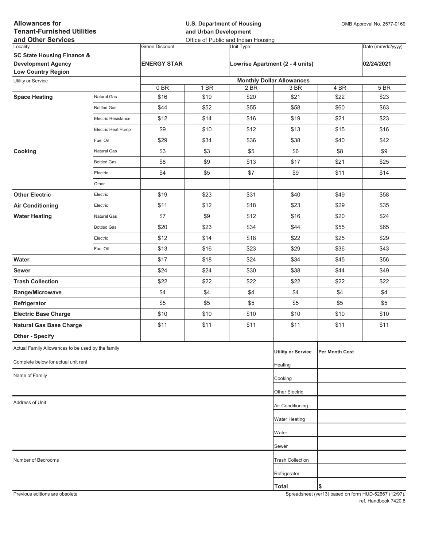| <b>Allowances for</b><br><b>Tenant-Furnished Utilities</b><br>and Other Services |                            |                       | <b>U.S. Department of Housing</b><br>and Urban Development<br>Office of Public and Indian Housing |                                 |                                  |                | OMB Approval No. 2577-0169 |
|----------------------------------------------------------------------------------|----------------------------|-----------------------|---------------------------------------------------------------------------------------------------|---------------------------------|----------------------------------|----------------|----------------------------|
| Locality                                                                         |                            | <b>Green Discount</b> |                                                                                                   | Unit Type                       |                                  |                | Date (mm/dd/yyyy)          |
| <b>SC State Housing Finance &amp;</b>                                            |                            |                       |                                                                                                   |                                 |                                  |                |                            |
| <b>Development Agency</b><br><b>Low Country Region</b>                           |                            | <b>ENERGY STAR</b>    |                                                                                                   | Lowrise Apartment (2 - 4 units) |                                  |                | 02/24/2021                 |
| Utility or Service                                                               |                            |                       |                                                                                                   |                                 | <b>Monthly Dollar Allowances</b> |                |                            |
|                                                                                  |                            | 0BR                   | 1 BR                                                                                              | 2 BR                            | 3 BR                             | 4 BR           | 5 BR                       |
| <b>Space Heating</b>                                                             | Natural Gas                | \$16                  | \$19                                                                                              | \$20                            | \$21                             | \$22           | \$23                       |
|                                                                                  | <b>Bottled Gas</b>         | \$44                  | \$52                                                                                              | \$55                            | \$58                             | \$60           | \$63                       |
|                                                                                  | <b>Electric Resistance</b> | \$12                  | \$14                                                                                              | \$16                            | \$19                             | \$21           | \$23                       |
|                                                                                  | Electric Heat Pump         | \$9                   | \$10                                                                                              | \$12                            | \$13                             | \$15           | \$16                       |
|                                                                                  | Fuel Oil                   | \$29                  | \$34                                                                                              | \$36                            | \$38                             | \$40           | \$42                       |
| Cooking                                                                          | Natural Gas                | \$3                   | \$3                                                                                               | \$5                             | \$6                              | \$8            | \$9                        |
|                                                                                  | <b>Bottled Gas</b>         | \$8                   | \$9                                                                                               | \$13                            | \$17                             | \$21           | \$25                       |
|                                                                                  | Electric                   | \$4                   | \$5                                                                                               | \$7                             | \$9                              | \$11           | \$14                       |
|                                                                                  | Other                      |                       |                                                                                                   |                                 |                                  |                |                            |
| <b>Other Electric</b>                                                            | Electric                   | \$19                  | \$23                                                                                              | \$31                            | \$40                             | \$49           | \$58                       |
| <b>Air Conditioning</b>                                                          | Electric                   | \$11                  | \$12                                                                                              | \$18                            | \$23                             | \$29           | \$35                       |
| <b>Water Heating</b>                                                             | Natural Gas                | \$7                   | \$9                                                                                               | \$12                            | \$16                             | \$20           | \$24                       |
|                                                                                  | <b>Bottled Gas</b>         | \$20                  | \$23                                                                                              | \$34                            | \$44                             | \$55           | \$65                       |
|                                                                                  | Electric                   | \$12                  | \$14                                                                                              | \$18                            | \$22                             | \$25           | \$29                       |
|                                                                                  | Fuel Oil                   | \$13                  | \$16                                                                                              | \$23                            | \$29                             | \$36           | \$43                       |
| Water                                                                            |                            | \$17                  | \$18                                                                                              | \$24                            | \$34                             | \$45           | \$56                       |
| <b>Sewer</b>                                                                     |                            | \$24                  | \$24                                                                                              | \$30                            | \$38                             | \$44           | \$49                       |
| <b>Trash Collection</b>                                                          |                            | \$22                  | \$22                                                                                              | \$22                            | \$22                             | \$22           | \$22                       |
| Range/Microwave                                                                  |                            | \$4                   | \$4                                                                                               | \$4                             | \$4                              | \$4            | \$4                        |
| Refrigerator                                                                     |                            | \$5                   | \$5                                                                                               | \$5                             | \$5                              | \$5            | \$5                        |
| <b>Electric Base Charge</b>                                                      |                            | \$10                  | \$10                                                                                              | \$10                            | \$10                             | \$10           | \$10                       |
| <b>Natural Gas Base Charge</b>                                                   |                            | \$11                  | \$11                                                                                              | \$11                            | \$11                             | \$11           | \$11                       |
| <b>Other - Specify</b>                                                           |                            |                       |                                                                                                   |                                 |                                  |                |                            |
| Actual Family Allowances to be used by the family                                |                            |                       |                                                                                                   |                                 | <b>Utility or Service</b>        | Per Month Cost |                            |
| Complete below for actual unit rent                                              |                            |                       |                                                                                                   |                                 | Heating                          |                |                            |
| Name of Family                                                                   |                            |                       |                                                                                                   |                                 | Cooking                          |                |                            |
|                                                                                  |                            |                       |                                                                                                   |                                 | Other Electric                   |                |                            |
| Address of Unit                                                                  |                            |                       |                                                                                                   |                                 | Air Conditioning                 |                |                            |
|                                                                                  |                            |                       |                                                                                                   |                                 | <b>Water Heating</b>             |                |                            |
|                                                                                  |                            |                       |                                                                                                   |                                 | Water                            |                |                            |
|                                                                                  |                            |                       |                                                                                                   |                                 | Sewer                            |                |                            |
| Number of Bedrooms                                                               |                            |                       |                                                                                                   |                                 | <b>Trash Collection</b>          |                |                            |
|                                                                                  |                            |                       |                                                                                                   |                                 | Refrigerator                     |                |                            |
|                                                                                  |                            |                       |                                                                                                   |                                 | <b>Total</b>                     | \$             |                            |
|                                                                                  |                            |                       |                                                                                                   |                                 |                                  |                |                            |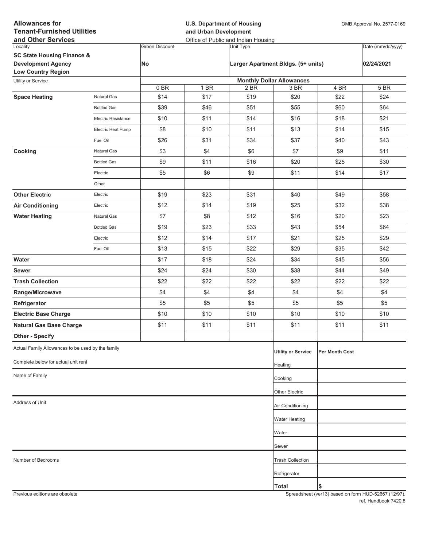| <b>Allowances for</b><br><b>Tenant-Furnished Utilities</b><br>and Other Services |                     | <b>U.S. Department of Housing</b><br>and Urban Development<br>Office of Public and Indian Housing |      |                  |                                          | OMB Approval No. 2577-0169 |                   |
|----------------------------------------------------------------------------------|---------------------|---------------------------------------------------------------------------------------------------|------|------------------|------------------------------------------|----------------------------|-------------------|
| Locality                                                                         |                     | <b>Green Discount</b>                                                                             |      | <b>Unit Type</b> |                                          |                            | Date (mm/dd/yyyy) |
| <b>SC State Housing Finance &amp;</b>                                            |                     |                                                                                                   |      |                  |                                          |                            |                   |
| <b>Development Agency</b>                                                        |                     | <b>No</b>                                                                                         |      |                  | Larger Apartment Bldgs. (5+ units)       |                            | 02/24/2021        |
| <b>Low Country Region</b>                                                        |                     |                                                                                                   |      |                  |                                          |                            |                   |
| Utility or Service                                                               |                     | 0BR                                                                                               | 1 BR | 2 BR             | <b>Monthly Dollar Allowances</b><br>3 BR | 4 BR                       | 5 BR              |
| <b>Space Heating</b>                                                             | Natural Gas         | \$14                                                                                              | \$17 | \$19             | \$20                                     | \$22                       | \$24              |
|                                                                                  | <b>Bottled Gas</b>  | \$39                                                                                              | \$46 | \$51             | \$55                                     | \$60                       | \$64              |
|                                                                                  | Electric Resistance | \$10                                                                                              | \$11 | \$14             | \$16                                     | \$18                       | \$21              |
|                                                                                  | Electric Heat Pump  | \$8                                                                                               | \$10 | \$11             | \$13                                     | \$14                       | \$15              |
|                                                                                  | Fuel Oil            | \$26                                                                                              | \$31 | \$34             | \$37                                     | \$40                       | \$43              |
| Cooking                                                                          | Natural Gas         | \$3                                                                                               | \$4  | \$6              | \$7                                      | \$9                        | \$11              |
|                                                                                  | <b>Bottled Gas</b>  | \$9                                                                                               | \$11 | \$16             | \$20                                     | \$25                       | \$30              |
|                                                                                  | Electric            | \$5                                                                                               | \$6  | \$9              | \$11                                     | \$14                       | \$17              |
|                                                                                  | Other               |                                                                                                   |      |                  |                                          |                            |                   |
| <b>Other Electric</b>                                                            | Electric            | \$19                                                                                              | \$23 | \$31             | \$40                                     | \$49                       | \$58              |
| <b>Air Conditioning</b>                                                          | Electric            | \$12                                                                                              | \$14 | \$19             | \$25                                     | \$32                       | \$38              |
| <b>Water Heating</b>                                                             | Natural Gas         | \$7                                                                                               | \$8  | \$12             | \$16                                     | \$20                       | \$23              |
|                                                                                  | <b>Bottled Gas</b>  | \$19                                                                                              | \$23 | \$33             | \$43                                     | \$54                       | \$64              |
|                                                                                  | Electric            | \$12                                                                                              | \$14 | \$17             | \$21                                     | \$25                       | \$29              |
|                                                                                  | Fuel Oil            | \$13                                                                                              | \$15 | \$22             | \$29                                     | \$35                       | \$42              |
| Water                                                                            |                     | \$17                                                                                              | \$18 | \$24             | \$34                                     | \$45                       | \$56              |
| <b>Sewer</b>                                                                     |                     | \$24                                                                                              | \$24 | \$30             | \$38                                     | \$44                       | \$49              |
| <b>Trash Collection</b>                                                          |                     | \$22                                                                                              | \$22 | \$22             | \$22                                     | \$22                       | \$22              |
| Range/Microwave                                                                  |                     | \$4                                                                                               | \$4  | \$4              | \$4                                      | \$4                        | \$4               |
| Refrigerator                                                                     |                     | \$5                                                                                               | \$5  | \$5              | \$5                                      | \$5                        | \$5               |
| <b>Electric Base Charge</b>                                                      |                     | \$10                                                                                              | \$10 | \$10             | \$10                                     | \$10                       | \$10              |
| <b>Natural Gas Base Charge</b>                                                   |                     | \$11                                                                                              | \$11 | \$11             | \$11                                     | \$11                       | \$11              |
| <b>Other - Specify</b>                                                           |                     |                                                                                                   |      |                  |                                          |                            |                   |
| Actual Family Allowances to be used by the family                                |                     |                                                                                                   |      |                  | <b>Utility or Service</b>                | Per Month Cost             |                   |
| Complete below for actual unit rent                                              |                     |                                                                                                   |      |                  | Heating                                  |                            |                   |
| Name of Family                                                                   |                     |                                                                                                   |      |                  | Cooking                                  |                            |                   |
|                                                                                  |                     |                                                                                                   |      |                  | Other Electric                           |                            |                   |
| Address of Unit                                                                  |                     |                                                                                                   |      |                  | Air Conditioning                         |                            |                   |
|                                                                                  |                     |                                                                                                   |      |                  | <b>Water Heating</b>                     |                            |                   |
|                                                                                  |                     |                                                                                                   |      |                  |                                          |                            |                   |
|                                                                                  |                     |                                                                                                   |      |                  | Water                                    |                            |                   |
|                                                                                  |                     |                                                                                                   |      |                  | Sewer                                    |                            |                   |
| Number of Bedrooms                                                               |                     |                                                                                                   |      |                  | <b>Trash Collection</b>                  |                            |                   |
|                                                                                  |                     |                                                                                                   |      |                  | Refrigerator                             |                            |                   |
|                                                                                  |                     |                                                                                                   |      |                  | <b>Total</b>                             | \$                         |                   |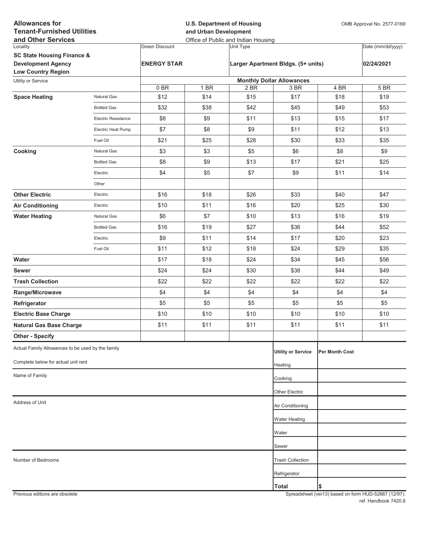| <b>Allowances for</b><br><b>Tenant-Furnished Utilities</b><br>and Other Services |                            |                       | <b>U.S. Department of Housing</b><br>and Urban Development<br>Office of Public and Indian Housing |           | OMB Approval No. 2577-0169         |                |                   |
|----------------------------------------------------------------------------------|----------------------------|-----------------------|---------------------------------------------------------------------------------------------------|-----------|------------------------------------|----------------|-------------------|
| Locality                                                                         |                            | <b>Green Discount</b> |                                                                                                   | Unit Type |                                    |                | Date (mm/dd/yyyy) |
| <b>SC State Housing Finance &amp;</b>                                            |                            |                       |                                                                                                   |           |                                    |                |                   |
| <b>Development Agency</b><br><b>Low Country Region</b>                           |                            | <b>ENERGY STAR</b>    |                                                                                                   |           | Larger Apartment Bldgs. (5+ units) |                | 02/24/2021        |
| Utility or Service                                                               |                            |                       |                                                                                                   |           | <b>Monthly Dollar Allowances</b>   |                |                   |
|                                                                                  |                            | 0BR                   | 1 BR                                                                                              | 2 BR      | 3 BR                               | 4 BR           | 5 BR              |
| <b>Space Heating</b>                                                             | Natural Gas                | \$12                  | \$14                                                                                              | \$15      | \$17                               | \$18           | \$19              |
|                                                                                  | <b>Bottled Gas</b>         | \$32                  | \$38                                                                                              | \$42      | \$45                               | \$49           | \$53              |
|                                                                                  | <b>Electric Resistance</b> | \$8                   | \$9                                                                                               | \$11      | \$13                               | \$15           | \$17              |
|                                                                                  | Electric Heat Pump         | \$7                   | \$8                                                                                               | \$9       | \$11                               | \$12           | \$13              |
|                                                                                  | Fuel Oil                   | \$21                  | \$25                                                                                              | \$28      | \$30                               | \$33           | \$35              |
| Cooking                                                                          | Natural Gas                | \$3                   | \$3                                                                                               | \$5       | \$6                                | \$8            | \$9               |
|                                                                                  | <b>Bottled Gas</b>         | \$8                   | \$9                                                                                               | \$13      | \$17                               | \$21           | \$25              |
|                                                                                  | Electric                   | \$4                   | \$5                                                                                               | \$7       | \$9                                | \$11           | \$14              |
|                                                                                  | Other                      |                       |                                                                                                   |           |                                    |                |                   |
| <b>Other Electric</b>                                                            | Electric                   | \$16                  | \$18                                                                                              | \$26      | \$33                               | \$40           | \$47              |
| <b>Air Conditioning</b>                                                          | Electric                   | \$10                  | \$11                                                                                              | \$16      | \$20                               | \$25           | \$30              |
| <b>Water Heating</b>                                                             | Natural Gas                | \$6                   | \$7                                                                                               | \$10      | \$13                               | \$16           | \$19              |
|                                                                                  | <b>Bottled Gas</b>         | \$16                  | \$19                                                                                              | \$27      | \$36                               | \$44           | \$52              |
|                                                                                  | Electric                   | \$9                   | \$11                                                                                              | \$14      | \$17                               | \$20           | \$23              |
|                                                                                  | Fuel Oil                   | \$11                  | \$12                                                                                              | \$18      | \$24                               | \$29           | \$35              |
| Water                                                                            |                            | \$17                  | \$18                                                                                              | \$24      | \$34                               | \$45           | \$56              |
| <b>Sewer</b>                                                                     |                            | \$24                  | \$24                                                                                              | \$30      | \$38                               | \$44           | \$49              |
| <b>Trash Collection</b>                                                          |                            | \$22                  | \$22                                                                                              | \$22      | \$22                               | \$22           | \$22              |
| Range/Microwave                                                                  |                            | \$4                   | \$4                                                                                               | \$4       | \$4                                | \$4            | \$4               |
| Refrigerator                                                                     |                            | \$5                   | \$5                                                                                               | \$5       | \$5                                | \$5            | \$5               |
| <b>Electric Base Charge</b>                                                      |                            | \$10                  | \$10                                                                                              | \$10      | \$10                               | \$10           | \$10              |
| <b>Natural Gas Base Charge</b>                                                   |                            | \$11                  | \$11                                                                                              | \$11      | \$11                               | \$11           | \$11              |
| <b>Other - Specify</b>                                                           |                            |                       |                                                                                                   |           |                                    |                |                   |
| Actual Family Allowances to be used by the family                                |                            |                       |                                                                                                   |           | <b>Utility or Service</b>          | Per Month Cost |                   |
| Complete below for actual unit rent                                              |                            |                       |                                                                                                   |           | Heating                            |                |                   |
| Name of Family                                                                   |                            |                       |                                                                                                   |           | Cooking                            |                |                   |
|                                                                                  |                            |                       |                                                                                                   |           | Other Electric                     |                |                   |
| Address of Unit                                                                  |                            |                       |                                                                                                   |           | Air Conditioning                   |                |                   |
|                                                                                  |                            |                       |                                                                                                   |           |                                    |                |                   |
|                                                                                  |                            |                       |                                                                                                   |           | <b>Water Heating</b>               |                |                   |
|                                                                                  |                            |                       |                                                                                                   |           | Water                              |                |                   |
|                                                                                  |                            |                       |                                                                                                   |           | Sewer                              |                |                   |
| Number of Bedrooms                                                               |                            |                       |                                                                                                   |           | <b>Trash Collection</b>            |                |                   |
|                                                                                  |                            |                       |                                                                                                   |           | Refrigerator                       |                |                   |
|                                                                                  |                            |                       |                                                                                                   |           | <b>Total</b>                       | \$             |                   |